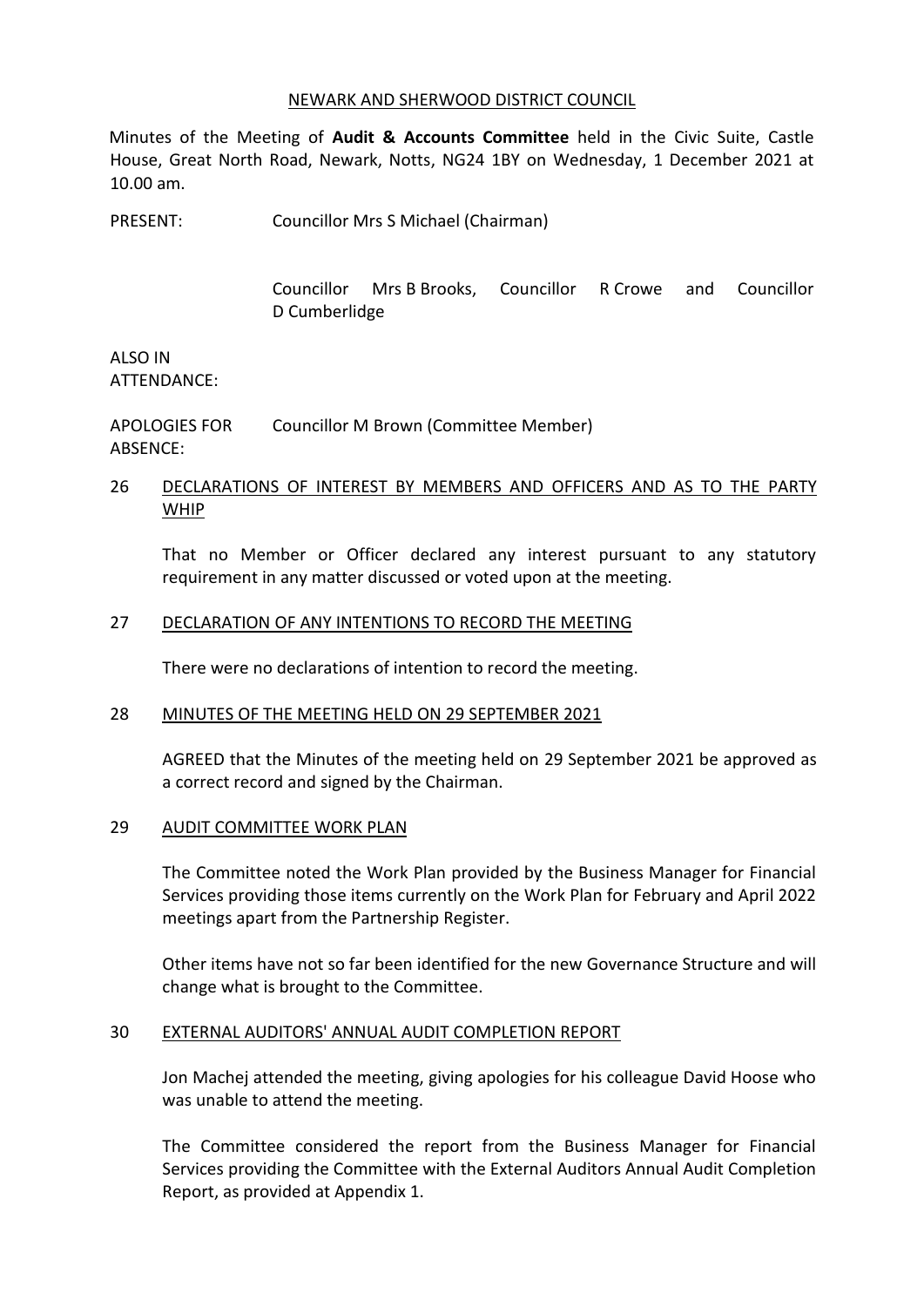#### NEWARK AND SHERWOOD DISTRICT COUNCIL

Minutes of the Meeting of **Audit & Accounts Committee** held in the Civic Suite, Castle House, Great North Road, Newark, Notts, NG24 1BY on Wednesday, 1 December 2021 at 10.00 am.

PRESENT: Councillor Mrs S Michael (Chairman)

Councillor Mrs B Brooks, Councillor R Crowe and Councillor D Cumberlidge

ALSO IN ATTENDANCE:

APOLOGIES FOR ABSENCE: Councillor M Brown (Committee Member)

## 26 DECLARATIONS OF INTEREST BY MEMBERS AND OFFICERS AND AS TO THE PARTY WHIP

That no Member or Officer declared any interest pursuant to any statutory requirement in any matter discussed or voted upon at the meeting.

## 27 DECLARATION OF ANY INTENTIONS TO RECORD THE MEETING

There were no declarations of intention to record the meeting.

#### 28 MINUTES OF THE MEETING HELD ON 29 SEPTEMBER 2021

AGREED that the Minutes of the meeting held on 29 September 2021 be approved as a correct record and signed by the Chairman.

## 29 AUDIT COMMITTEE WORK PLAN

The Committee noted the Work Plan provided by the Business Manager for Financial Services providing those items currently on the Work Plan for February and April 2022 meetings apart from the Partnership Register.

Other items have not so far been identified for the new Governance Structure and will change what is brought to the Committee.

#### 30 EXTERNAL AUDITORS' ANNUAL AUDIT COMPLETION REPORT

Jon Machej attended the meeting, giving apologies for his colleague David Hoose who was unable to attend the meeting.

The Committee considered the report from the Business Manager for Financial Services providing the Committee with the External Auditors Annual Audit Completion Report, as provided at Appendix 1.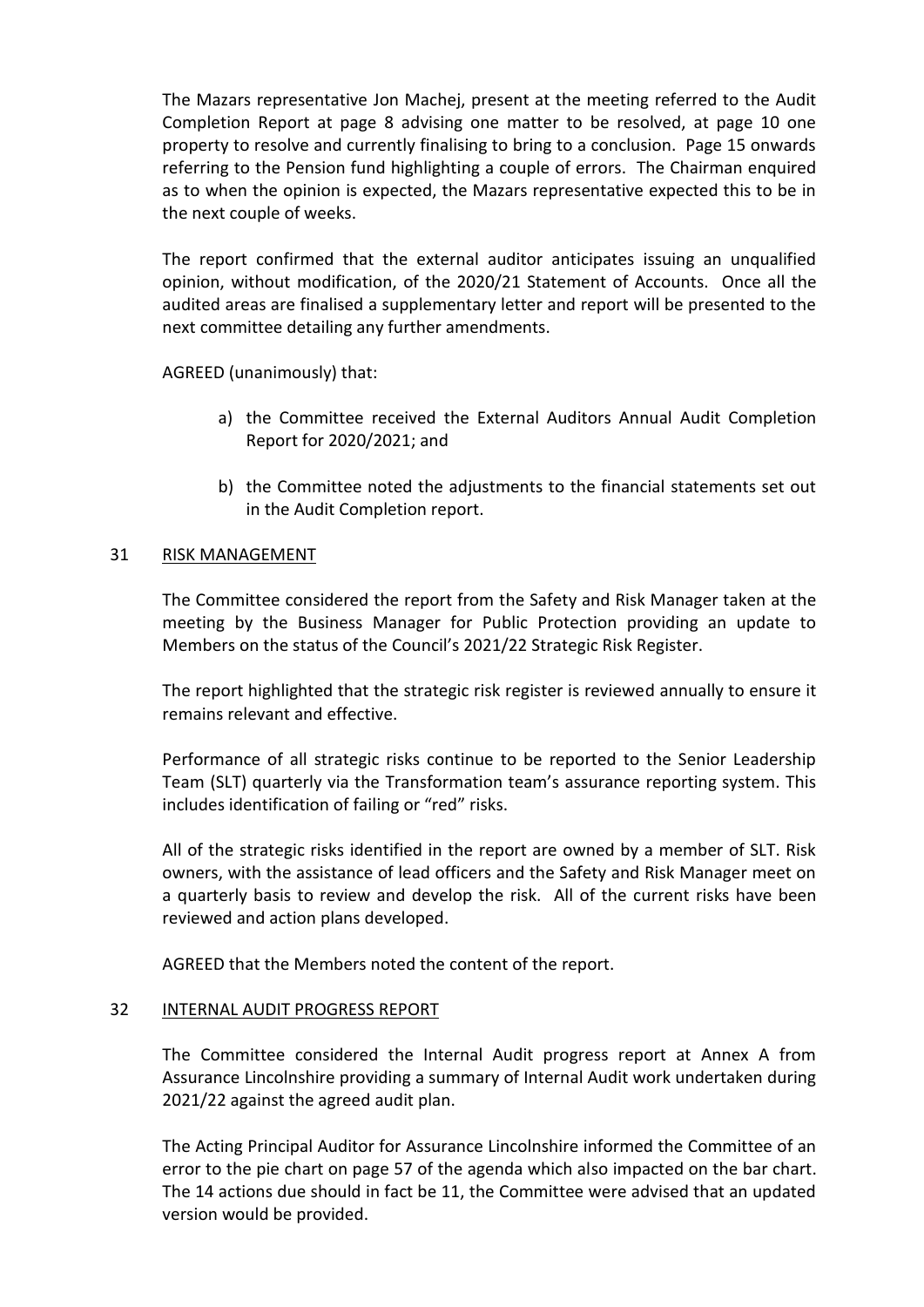The Mazars representative Jon Machej, present at the meeting referred to the Audit Completion Report at page 8 advising one matter to be resolved, at page 10 one property to resolve and currently finalising to bring to a conclusion. Page 15 onwards referring to the Pension fund highlighting a couple of errors. The Chairman enquired as to when the opinion is expected, the Mazars representative expected this to be in the next couple of weeks.

The report confirmed that the external auditor anticipates issuing an unqualified opinion, without modification, of the 2020/21 Statement of Accounts. Once all the audited areas are finalised a supplementary letter and report will be presented to the next committee detailing any further amendments.

AGREED (unanimously) that:

- a) the Committee received the External Auditors Annual Audit Completion Report for 2020/2021; and
- b) the Committee noted the adjustments to the financial statements set out in the Audit Completion report.

## 31 RISK MANAGEMENT

The Committee considered the report from the Safety and Risk Manager taken at the meeting by the Business Manager for Public Protection providing an update to Members on the status of the Council's 2021/22 Strategic Risk Register.

The report highlighted that the strategic risk register is reviewed annually to ensure it remains relevant and effective.

Performance of all strategic risks continue to be reported to the Senior Leadership Team (SLT) quarterly via the Transformation team's assurance reporting system. This includes identification of failing or "red" risks.

All of the strategic risks identified in the report are owned by a member of SLT. Risk owners, with the assistance of lead officers and the Safety and Risk Manager meet on a quarterly basis to review and develop the risk. All of the current risks have been reviewed and action plans developed.

AGREED that the Members noted the content of the report.

## 32 INTERNAL AUDIT PROGRESS REPORT

The Committee considered the Internal Audit progress report at Annex A from Assurance Lincolnshire providing a summary of Internal Audit work undertaken during 2021/22 against the agreed audit plan.

The Acting Principal Auditor for Assurance Lincolnshire informed the Committee of an error to the pie chart on page 57 of the agenda which also impacted on the bar chart. The 14 actions due should in fact be 11, the Committee were advised that an updated version would be provided.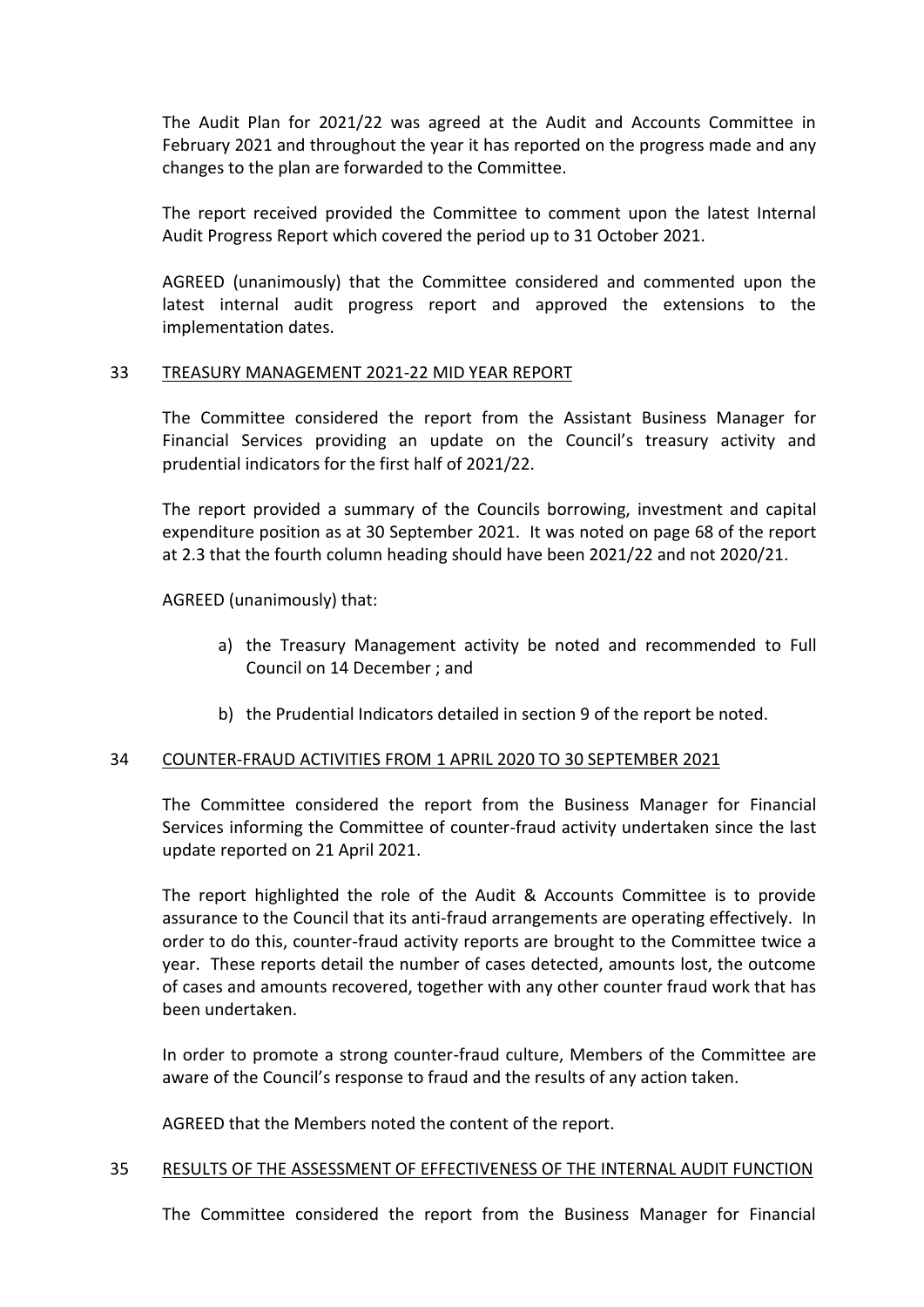The Audit Plan for 2021/22 was agreed at the Audit and Accounts Committee in February 2021 and throughout the year it has reported on the progress made and any changes to the plan are forwarded to the Committee.

The report received provided the Committee to comment upon the latest Internal Audit Progress Report which covered the period up to 31 October 2021.

AGREED (unanimously) that the Committee considered and commented upon the latest internal audit progress report and approved the extensions to the implementation dates.

## 33 TREASURY MANAGEMENT 2021-22 MID YEAR REPORT

The Committee considered the report from the Assistant Business Manager for Financial Services providing an update on the Council's treasury activity and prudential indicators for the first half of 2021/22.

The report provided a summary of the Councils borrowing, investment and capital expenditure position as at 30 September 2021. It was noted on page 68 of the report at 2.3 that the fourth column heading should have been 2021/22 and not 2020/21.

AGREED (unanimously) that:

- a) the Treasury Management activity be noted and recommended to Full Council on 14 December ; and
- b) the Prudential Indicators detailed in section 9 of the report be noted.

## 34 COUNTER-FRAUD ACTIVITIES FROM 1 APRIL 2020 TO 30 SEPTEMBER 2021

The Committee considered the report from the Business Manager for Financial Services informing the Committee of counter-fraud activity undertaken since the last update reported on 21 April 2021.

The report highlighted the role of the Audit & Accounts Committee is to provide assurance to the Council that its anti-fraud arrangements are operating effectively. In order to do this, counter-fraud activity reports are brought to the Committee twice a year. These reports detail the number of cases detected, amounts lost, the outcome of cases and amounts recovered, together with any other counter fraud work that has been undertaken.

In order to promote a strong counter-fraud culture, Members of the Committee are aware of the Council's response to fraud and the results of any action taken.

AGREED that the Members noted the content of the report.

## 35 RESULTS OF THE ASSESSMENT OF EFFECTIVENESS OF THE INTERNAL AUDIT FUNCTION

The Committee considered the report from the Business Manager for Financial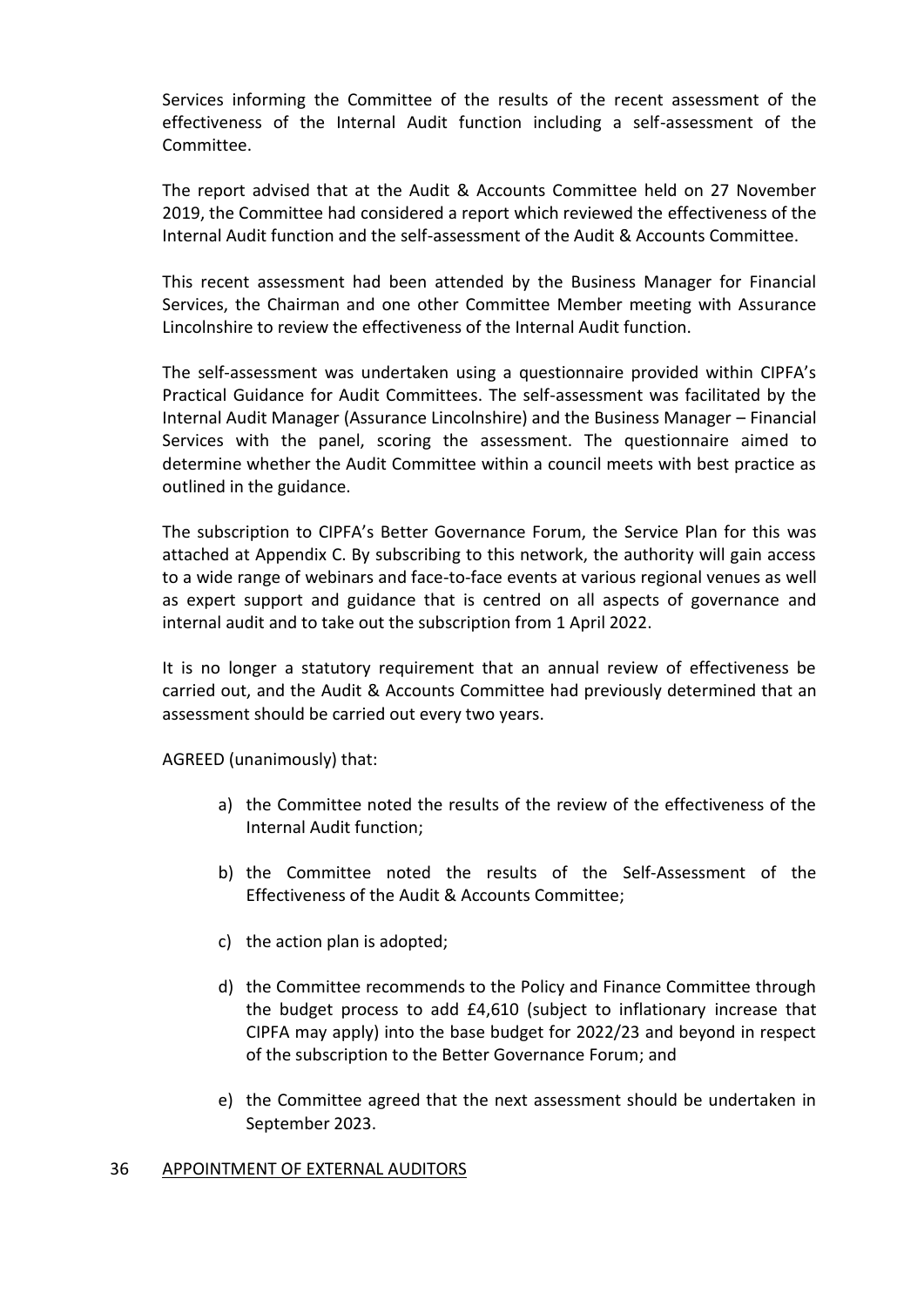Services informing the Committee of the results of the recent assessment of the effectiveness of the Internal Audit function including a self-assessment of the Committee.

The report advised that at the Audit & Accounts Committee held on 27 November 2019, the Committee had considered a report which reviewed the effectiveness of the Internal Audit function and the self-assessment of the Audit & Accounts Committee.

This recent assessment had been attended by the Business Manager for Financial Services, the Chairman and one other Committee Member meeting with Assurance Lincolnshire to review the effectiveness of the Internal Audit function.

The self-assessment was undertaken using a questionnaire provided within CIPFA's Practical Guidance for Audit Committees. The self-assessment was facilitated by the Internal Audit Manager (Assurance Lincolnshire) and the Business Manager – Financial Services with the panel, scoring the assessment. The questionnaire aimed to determine whether the Audit Committee within a council meets with best practice as outlined in the guidance.

The subscription to CIPFA's Better Governance Forum, the Service Plan for this was attached at Appendix C. By subscribing to this network, the authority will gain access to a wide range of webinars and face-to-face events at various regional venues as well as expert support and guidance that is centred on all aspects of governance and internal audit and to take out the subscription from 1 April 2022.

It is no longer a statutory requirement that an annual review of effectiveness be carried out, and the Audit & Accounts Committee had previously determined that an assessment should be carried out every two years.

AGREED (unanimously) that:

- a) the Committee noted the results of the review of the effectiveness of the Internal Audit function;
- b) the Committee noted the results of the Self-Assessment of the Effectiveness of the Audit & Accounts Committee;
- c) the action plan is adopted;
- d) the Committee recommends to the Policy and Finance Committee through the budget process to add £4,610 (subject to inflationary increase that CIPFA may apply) into the base budget for 2022/23 and beyond in respect of the subscription to the Better Governance Forum; and
- e) the Committee agreed that the next assessment should be undertaken in September 2023.

#### 36 APPOINTMENT OF EXTERNAL AUDITORS